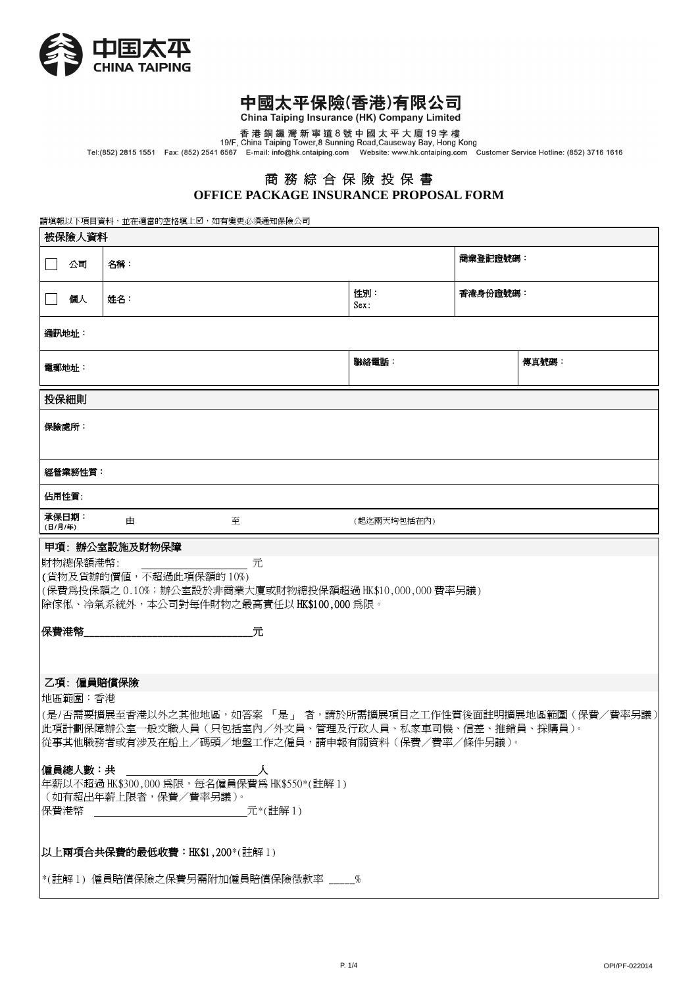

ī

## 中國太平保險(香港)有限公司

China Taiping Insurance (HK) Company Limited

香港銅鑼灣新寧道8號中國太平大廈19字樓<br>19/F, China Taiping Tower,8 Sunning Road,Causeway Bay, Hong Kong<br>Tel:(852) 2815 1551 Fax: (852) 2541 6567 E-mail: info@hk.cntaiping.com Website: www.hk.cntaiping.com Customer Service Hotline: (852) 37

## 商 務 綜 合 保 險 投 保 書 **OFFICE PACKAGE INSURANCE PROPOSAL FORM**

請填報以下項目資料,並在適當的空格塡上2,如有變更必須通知保險公司

| 被保險人資料                                                                                                                                                                      |     |       |             |          |  |  |  |  |
|-----------------------------------------------------------------------------------------------------------------------------------------------------------------------------|-----|-------|-------------|----------|--|--|--|--|
| 公司<br>$\mathbf{L}$                                                                                                                                                          | 名稱: |       |             | 商業登記證號碼: |  |  |  |  |
| 個人                                                                                                                                                                          | 姓名: |       | 性別:<br>Sex: | 香港身份證號碼: |  |  |  |  |
| 通訊地址:                                                                                                                                                                       |     |       |             |          |  |  |  |  |
| 電郵地址:                                                                                                                                                                       |     | 聯絡電話: | 傳真號碼:       |          |  |  |  |  |
| 投保細則                                                                                                                                                                        |     |       |             |          |  |  |  |  |
| 保險處所:                                                                                                                                                                       |     |       |             |          |  |  |  |  |
| 經營業務性質:                                                                                                                                                                     |     |       |             |          |  |  |  |  |
| 佔用性質:                                                                                                                                                                       |     |       |             |          |  |  |  |  |
| 承保日期:<br>(日/月/年)                                                                                                                                                            | 由   | 至     | (起迄兩天均包括在內) |          |  |  |  |  |
| 財物總保額港幣:<br>元<br>(貨物及貨辦的價值,不超過此項保額的 10%)<br>(保費爲投保額之 0.10%;辦公室設於非商業大廈或財物總投保額超過 HK\$10,000,000 費率另議)<br>除傢俬、冷氣系統外,本公司對每件財物之最高責任以 HK\$100,000 為限。<br>保費港幣<br>元<br>乙項:僱員賠償保險   |     |       |             |          |  |  |  |  |
| 地區範圍:香港                                                                                                                                                                     |     |       |             |          |  |  |  |  |
| (是/否需要擴展至香港以外之其他地區,如答案 「 是 」 者,請於所需擴展項目之工作性質後面註明擴展地區範圍(保費/費率另議)<br> 此項計劃保障辦公室一般文職人員(只包括室內/外文員、管理及行政人員、私家車司機、信差、推銷員、採購員)。<br> 從事其他職務者或有涉及在船上/碼頭/地盤工作之僱員,請申報有關資料(保費/費率/條件另議)。 |     |       |             |          |  |  |  |  |
| 僱員總人數:共<br>年薪以不超過 HK\$300,000 為限,每名僱員保費為 HK\$550*(註解 1)<br>(如有超出年薪上限者,保費/費率另議)。<br>保費港幣<br>元*(註解1)                                                                          |     |       |             |          |  |  |  |  |
| 以上兩項合共保費的最低收費: HK\$1,200*(註解1)                                                                                                                                              |     |       |             |          |  |  |  |  |
| *(註解 1) 僱員賠償保險之保費另需附加僱員賠償保險徴款率 ____%                                                                                                                                        |     |       |             |          |  |  |  |  |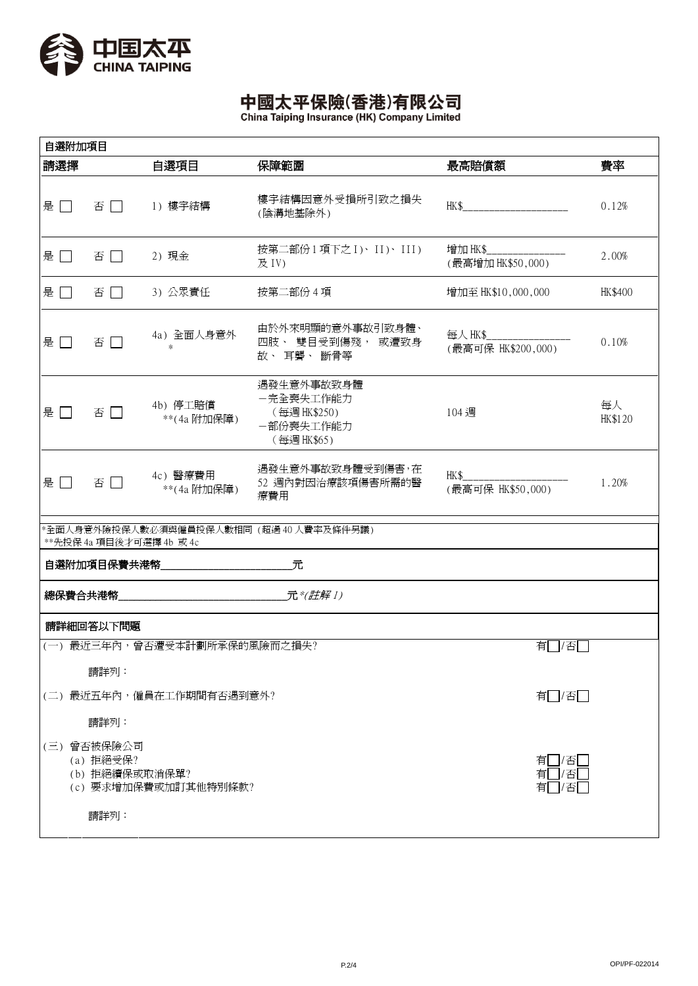

# 中國太平保險(香港)有限公司

| 自選附加項目 |                                                    |                              |                                                                    |                                             |               |  |  |  |
|--------|----------------------------------------------------|------------------------------|--------------------------------------------------------------------|---------------------------------------------|---------------|--|--|--|
| 請選擇    |                                                    | 自選項目                         | 保障範圍                                                               | 最高賠償額                                       | 費率            |  |  |  |
| 是口     | 否口                                                 | 1) 樓宇結構                      | 樓宇結構因意外受損所引致之損失<br>(陰溝地基除外)                                        |                                             | 0.12%         |  |  |  |
| 是口     | 否口                                                 | 2) 現金                        | 按第二部份1項下之 I)、II)、III)<br>及 IV)                                     | 增加 HK\$______________<br>(最高增加 HK\$50,000)  | 2.00%         |  |  |  |
| 是口     | 否口                                                 | 3) 公眾責任                      | 按第二部份 4 項                                                          | 增加至 HK\$10,000,000                          | HK\$400       |  |  |  |
| 是口     | 否口                                                 | 4a) 全面人身意外<br>$\ast$         | 由於外來明顯的意外事故引致身體、<br>四肢、 雙目受到傷殘, 或遭致身<br>故、耳聾、斷骨等                   | 每人 HK\$______________<br>(最高可保 HK\$200,000) | 0.10%         |  |  |  |
| 是口     | 否口                                                 | 4b) 停工賠償<br>**(4a 附加保障)      | 遇發生意外事故致身體<br>一完全喪失工作能力<br>(每週 HK\$250)<br>一部份喪失工作能力<br>(每週HK\$65) | 104 週                                       | 每人<br>HK\$120 |  |  |  |
| 是口     | 否口                                                 | 4c) 醫療費用<br>**(4a 附加保障)      | 遇發生意外事故致身體受到傷害,在<br>52 週內對因治療該項傷害所需的醫<br>療費用                       | HK\$<br>(最高可保 HK\$50,000)                   | 1.20%         |  |  |  |
|        | **先投保 4a 項目後才可選擇 4b 或 4c                           |                              | *全面人身意外險投保人數必須與僱員投保人數相同(超過40人費率及條件另議)                              |                                             |               |  |  |  |
|        |                                                    |                              |                                                                    |                                             |               |  |  |  |
|        |                                                    |                              |                                                                    |                                             |               |  |  |  |
|        | 請詳細回答以下問題                                          |                              |                                                                    |                                             |               |  |  |  |
|        |                                                    | (一) 最近三年內,曾否遭受本計劃所承保的風險而之損失? | 有   /否                                                             |                                             |               |  |  |  |
|        | 請詳列:                                               |                              |                                                                    |                                             |               |  |  |  |
|        |                                                    | (二) 最近五年內,僱員在工作期間有否遇到意外?     | 有□/否□                                                              |                                             |               |  |  |  |
| 請詳列:   |                                                    |                              |                                                                    |                                             |               |  |  |  |
|        | (三) 曾否被保險公司<br>(a) 拒絕受保?<br>(b) 拒絕續保或取消保單?<br>請詳列: | (c) 要求增加保費或加訂其他特別條款?         | 有  7否 <br>有□/否<br>有□/否                                             |                                             |               |  |  |  |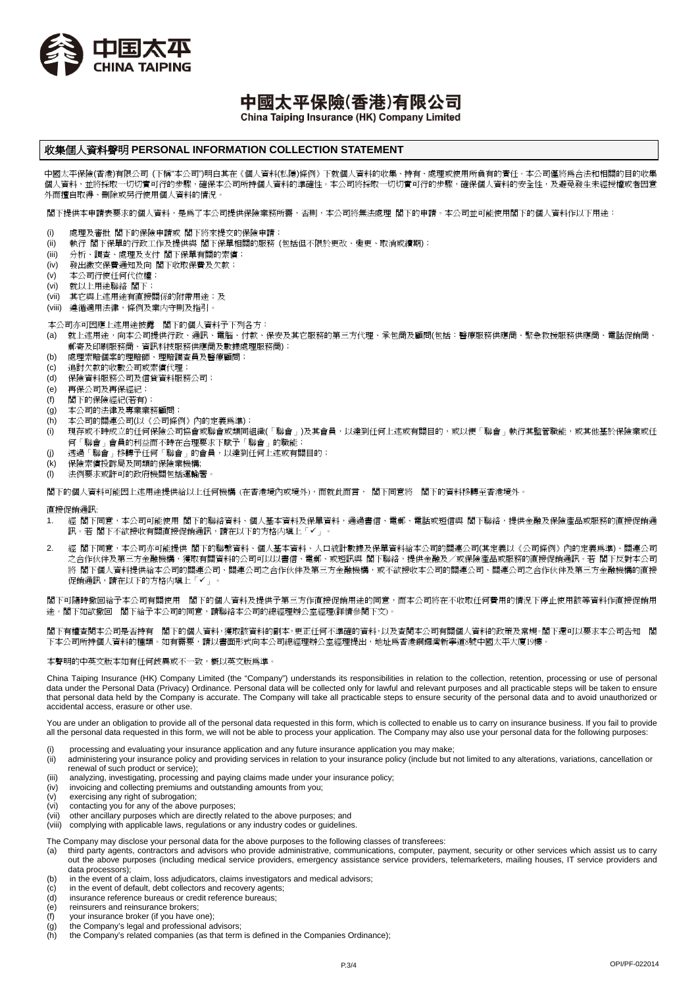

中國太平保險(香港)有限公司

China Taiping Insurance (HK) Company Limited

## 收集個人資料聲明 **PERSONAL INFORMATION COLLECTION STATEMENT**

中國太平保險(香港)有限公司 (下稱"本公司")明白其在《個人資料(私隱)條例》下就個人資料的收集、持有、處理或使用所負有的責任。本公司僅將為合法和相關的目的收集 個人資料,並將採取一切切實可行的步驟,確保本公司所持個人資料的準確性。本公司將採取一切切實可行的步驟,確保個人資料的安全性,及避免發生未經授權或者因意 外而擅自取得、刪除或另行使用個人資料的情況。

閣下提供本申請表要求的個人資料,是為了本公司提供保險業務所需,否則,本公司將無法處理 閣下的申請。本公司並可能使用閣下的個人資料作以下用途:

- (i) 處理及審批 閣下的保險申請或 閣下將來提交的保險申請;
- (ii) 執行 閣下保單的行政工作及提供與 閣下保單相關的服務 (包括但不限於更改、變更、取消或續期);
- (iii) 分析、調查、處理及支付 閣下保單有關的索償;
- (iv) 發出繳交保費通知及向 閣下收取保費及欠款;
- (v) 本公司行使任何代位權;
- (vi) 就以上用途聯絡 閣下;
- (vii) 其它與上述用途有直接關係的附帶用途;及
- (viii) 遵循適用法律,條例及業内守則及指引。
- 本公司亦可因應上述用途披露 閣下的個人資料予下列各方:
- (a) 就上述用途,向本公司提供行政、通訊、電腦、付款、保安及其它服務的第三方代理、承包商及顧問(包括:醫療服務供應商、緊急救援服務供應商、電話促銷商、 。<br>郵寄及印刷服務商、資訊科技服務供應商及數據處理服務商);
- (b) 處理索賠個案的理賠師、理賠調查員及醫療顧問;
- (c) 追討欠款的收數公司或索償代理;
- (d) 保險資料服務公司及信貸資料服務公司;
- (e) 再保公司及再保經紀;
- (f) 閣下的保險經紀(若有);
- 
- (g) 本公司的法律及專業業務顧問;
- (h) 本公司的關連公司(以《公司條例》內的定義為準);
- 、,<br>(i) 現存或不時成立的任何保險公司協會或聯會或類同組織(「聯會」)及其會員,以達到任何上述或有關目的,或以便「聯會」執行其監管職能,或其他基於保險業或任 何「聯會」會員的利益而不時在合理要求下賦予「聯會」的職能;
- (j) 透過「聯會」移轉予任何「聯會」的會員,以達到任何上述或有關目的;
- (k) 保險索償投訴局及同類的保險業機構;
- (i) 法例要求或許可的政府機關包括運輸署

閣下的個人資料可能因上述用途提供給以上任何機構 (在香港境內或境外),而就此而言, 閣下同意將 閣下的資料移轉至香港境外。

直接促銷通訊:

- 1. 經 閣下同意,本公司可能使用 閣下的聯絡資料、個人基本資料及保單資料,通過書信、電郵、電話或短信與 閣下聯絡,提供金融及保險產品或服務的直接促銷通 訊。若 閣下不欲接收有關直接促銷通訊,請在以下的方格内塡上「✔」。
- 2. 經 閣下同意,本公司亦可能提供 閣下的聯繫資料、個人基本資料、人口統計數據及保單資料給本公司的關連公司(其定義以《公司條例》內的定義為準)、關連公司 之合作伙伴及第三方金融機構,獲取有關資料的公司可以以書信、電郵、或短訊與 閣下聯絡,提供金融及/或保險產品或服務的直接促銷通訊。若 閣下反對本公司 將 閣下個人資料提供給本公司的關連公司、關連公司之合作伙伴及第三方金融機構,或不欲接收本公司的關連公司、關連公司之合作伙伴及第三方金融機構的直接 促銷通訊,請在以下的方格内填上「」。

閣下可隨時撤回給予本公司有關使用 閣下的個人資料及提供予第三方作直接促銷用途的同意,而本公司將在不收取任何費用的情況下停止使用該等資料作直接促銷用 途。閣下如欲撤回 閣下給予本公司的同意,請聯絡本公司的總經理辦公室經理(詳情參閱下文)。

閣下有權查閱本公司是否持有 閣下的個人資料,獲取該資料的副本,更正任何不準確的資料,以及查閱本公司有關個人資料的政策及常規。閣下還可以要求本公司告知 閣 下本公司所持個人資料的種類。如有需要,請以書面形式向本公司總經理辦公室經理提出,地址爲香港銅鑼灣新寧道8號中國太平大廈19樓。

#### 本聲明的中英文版本如有任何歧異或不一致,概以英文版為準。

China Taiping Insurance (HK) Company Limited (the "Company") understands its responsibilities in relation to the collection, retention, processing or use of personal data under the Personal Data (Privacy) Ordinance. Personal data will be collected only for lawful and relevant purposes and all practicable steps will be taken to ensure that personal data held by the Company is accurate. The Company will take all practicable steps to ensure security of the personal data and to avoid unauthorized or accidental access, erasure or other use.

You are under an obligation to provide all of the personal data requested in this form, which is collected to enable us to carry on insurance business. If you fail to provide all the personal data requested in this form, we will not be able to process your application. The Company may also use your personal data for the following purposes:

- (i) processing and evaluating your insurance application and any future insurance application you may make;
- (ii) administering your insurance policy and providing services in relation to your insurance policy (include but not limited to any alterations, variations, cancellation or renewal of such product or service);
- (iii) analyzing, investigating, processing and paying claims made under your insurance policy;<br>(iv) invoicing and collecting premiums and outstanding amounts from you;
- invoicing and collecting premiums and outstanding amounts from you;
- (v) exercising any right of subrogation;
- contacting you for any of the above purposes;
- (vii) other ancillary purposes which are directly related to the above purposes; and<br>(viii) complying with applicable laws, regulations or any industry codes or guidelines
- complying with applicable laws, regulations or any industry codes or guidelines.
- The Company may disclose your personal data for the above purposes to the following classes of transferees:<br>(a) third party agents, contractors and advisors who provide administrative, communications, computer, pa
- third party agents, contractors and advisors who provide administrative, communications, computer, payment, security or other services which assist us to carry out the above purposes (including medical service providers, emergency assistance service providers, telemarketers, mailing houses, IT service providers and data processors);
- (b) in the event of a claim, loss adjudicators, claims investigators and medical advisors;
- (c) in the event of default, debt collectors and recovery agents;
- (d) insurance reference bureaus or credit reference bureaus;
- $\overrightarrow{e}$  reinsurers and reinsurance brokers;<br>(f) vour insurance broker (if you have o
- 
- (f) your insurance broker (if you have one);<br>(g) the Company's legal and professional a the Company's legal and professional advisors;
- (h) the Company's related companies (as that term is defined in the Companies Ordinance);